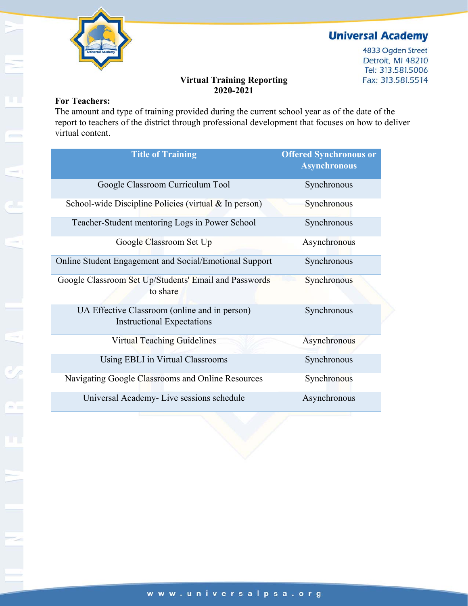

# **Universal Academy**

4833 Ogden Street Detroit, MI 48210 Tel: 313.581.5006 Fax: 313.581.5514

#### **Virtual Training Reporting 2020-2021**

#### **For Teachers:**

The amount and type of training provided during the current school year as of the date of the report to teachers of the district through professional development that focuses on how to deliver virtual content.

| <b>Title of Training</b>                                                           | <b>Offered Synchronous or</b><br><b>Asynchronous</b> |
|------------------------------------------------------------------------------------|------------------------------------------------------|
| Google Classroom Curriculum Tool                                                   | Synchronous                                          |
| School-wide Discipline Policies (virtual & In person)                              | Synchronous                                          |
| Teacher-Student mentoring Logs in Power School                                     | Synchronous                                          |
| Google Classroom Set Up                                                            | Asynchronous                                         |
| Online Student Engagement and Social/Emotional Support                             | Synchronous                                          |
| Google Classroom Set Up/Students' Email and Passwords<br>to share                  | Synchronous                                          |
| UA Effective Classroom (online and in person)<br><b>Instructional Expectations</b> | Synchronous                                          |
| Virtual Teaching Guidelines                                                        | Asynchronous                                         |
| Using EBLI in Virtual Classrooms                                                   | Synchronous                                          |
| Navigating Google Classrooms and Online Resources                                  | Synchronous                                          |
| Universal Academy- Live sessions schedule                                          | Asynchronous                                         |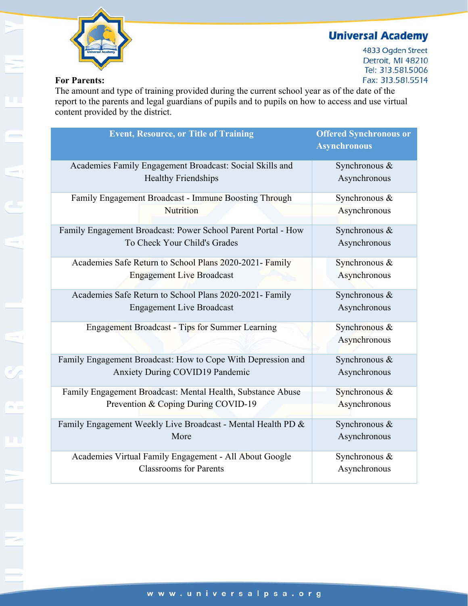# **Universal Academy**



4833 Ogden Street Detroit, MI 48210 Tel: 313.581.5006 Fax: 313.581.5514

### **For Parents:**

The amount and type of training provided during the current school year as of the date of the report to the parents and legal guardians of pupils and to pupils on how to access and use virtual content provided by the district.

| <b>Event, Resource, or Title of Training</b>                  | <b>Offered Synchronous or</b><br><b>Asynchronous</b> |
|---------------------------------------------------------------|------------------------------------------------------|
| Academies Family Engagement Broadcast: Social Skills and      | Synchronous &                                        |
| <b>Healthy Friendships</b>                                    | Asynchronous                                         |
| Family Engagement Broadcast - Immune Boosting Through         | Synchronous &                                        |
| Nutrition                                                     | Asynchronous                                         |
| Family Engagement Broadcast: Power School Parent Portal - How | Synchronous &                                        |
| To Check Your Child's Grades                                  | Asynchronous                                         |
| Academies Safe Return to School Plans 2020-2021- Family       | Synchronous &                                        |
| <b>Engagement Live Broadcast</b>                              | Asynchronous                                         |
| Academies Safe Return to School Plans 2020-2021- Family       | Synchronous &                                        |
| <b>Engagement Live Broadcast</b>                              | Asynchronous                                         |
| <b>Engagement Broadcast - Tips for Summer Learning</b>        | Synchronous &                                        |
|                                                               | Asynchronous                                         |
| Family Engagement Broadcast: How to Cope With Depression and  | Synchronous &                                        |
| <b>Anxiety During COVID19 Pandemic</b>                        | Asynchronous                                         |
| Family Engagement Broadcast: Mental Health, Substance Abuse   | Synchronous &                                        |
| Prevention & Coping During COVID-19                           | Asynchronous                                         |
| Family Engagement Weekly Live Broadcast - Mental Health PD &  | Synchronous &                                        |
| More                                                          | Asynchronous                                         |
| Academies Virtual Family Engagement - All About Google        | Synchronous &                                        |
| <b>Classrooms</b> for Parents                                 | Asynchronous                                         |